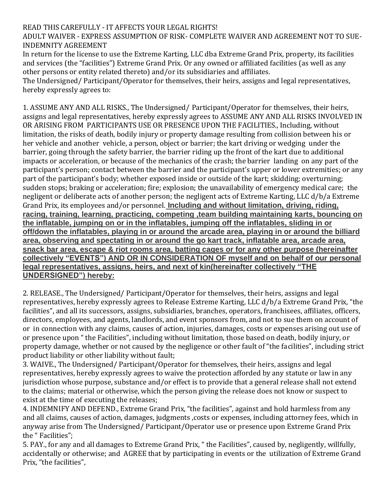## READ THIS CAREFULLY - IT AFFECTS YOUR LEGAL RIGHTS!

ADULT WAIVER - EXPRESS ASSUMPTION OF RISK- COMPLETE WAIVER AND AGREEMENT NOT TO SUE-INDEMNITY AGREEMENT

In return for the license to use the Extreme Karting, LLC dba Extreme Grand Prix, property, its facilities and services (the "facilities") Extreme Grand Prix. Or any owned or affiliated facilities (as well as any other persons or entity related thereto) and/or its subsidiaries and affiliates.

The Undersigned/ Participant/Operator for themselves, their heirs, assigns and legal representatives, hereby expressly agrees to:

1. ASSUME ANY AND ALL RISKS., The Undersigned/ Participant/Operator for themselves, their heirs, assigns and legal representatives, hereby expressly agrees to ASSUME ANY AND ALL RISKS INVOLVED IN OR ARISING FROM PARTICIPANTS USE OR PRESENCE UPON THE FACILITIES., Including, without limitation, the risks of death, bodily injury or property damage resulting from collision between his or her vehicle and another vehicle, a person, object or barrier; the kart driving or wedging under the barrier, going through the safety barrier, the barrier riding up the front of the kart due to additional impacts or acceleration, or because of the mechanics of the crash; the barrier landing on any part of the participant's person; contact between the barrier and the participant's upper or lower extremities; or any part of the participant's body; whether exposed inside or outside of the kart; skidding; overturning; sudden stops; braking or acceleration; fire; explosion; the unavailability of emergency medical care; the negligent or deliberate acts of another person; the negligent acts of Extreme Karting, LLC d/b/a Extreme Grand Prix, its employees and/or personnel. **Including and without limitation, driving, riding, racing, training, learning, practicing, competing ,team building maintaining karts, bouncing on the inflatable, jumping on or in the inflatables, jumping off the inflatables, sliding in or off/down the inflatables, playing in or around the arcade area, playing in or around the billiard area, observing and spectating in or around the go kart track, inflatable area, arcade area, snack bar area, escape & riot rooms area, batting cages or for any other purpose (hereinafter collectively "EVENTS") AND OR IN CONSIDERATION OF myself and on behalf of our personal legal representatives, assigns, heirs, and next of kin(hereinafter collectively "THE UNDERSIGNED") hereby:**

2. RELEASE., The Undersigned/ Participant/Operator for themselves, their heirs, assigns and legal representatives, hereby expressly agrees to Release Extreme Karting, LLC d/b/a Extreme Grand Prix, "the facilities", and all its successors, assigns, subsidiaries, branches, operators, franchisees, affiliates, officers, directors, employees, and agents, landlords, and event sponsors from, and not to sue them on account of or in connection with any claims, causes of action, injuries, damages, costs or expenses arising out use of or presence upon " the Facilities", including without limitation, those based on death, bodily injury, or property damage, whether or not caused by the negligence or other fault of "the facilities", including strict product liability or other liability without fault;

3. WAIVE., The Undersigned/ Participant/Operator for themselves, their heirs, assigns and legal representatives, hereby expressly agrees to waive the protection afforded by any statute or law in any jurisdiction whose purpose, substance and/or effect is to provide that a general release shall not extend to the claims; material or otherwise, which the person giving the release does not know or suspect to exist at the time of executing the releases;

4. INDEMNIFY AND DEFEND., Extreme Grand Prix, "the facilities", against and hold harmless from any and all claims, causes of action, damages, judgments ,costs or expenses, including attorney fees, which in anyway arise from The Undersigned/ Participant/Operator use or presence upon Extreme Grand Prix the " Facilities";

5. PAY., for any and all damages to Extreme Grand Prix, " the Facilities", caused by, negligently, willfully, accidentally or otherwise; and AGREE that by participating in events or the utilization of Extreme Grand Prix, "the facilities",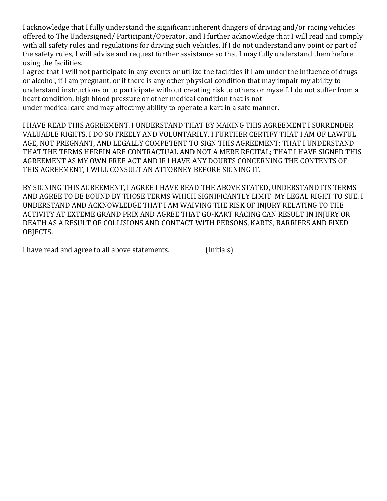I acknowledge that I fully understand the significant inherent dangers of driving and/or racing vehicles offered to The Undersigned/ Participant/Operator, and I further acknowledge that I will read and comply with all safety rules and regulations for driving such vehicles. If I do not understand any point or part of the safety rules, I will advise and request further assistance so that I may fully understand them before using the facilities.

I agree that I will not participate in any events or utilize the facilities if I am under the influence of drugs or alcohol, if I am pregnant, or if there is any other physical condition that may impair my ability to understand instructions or to participate without creating risk to others or myself. I do not suffer from a heart condition, high blood pressure or other medical condition that is not

under medical care and may affect my ability to operate a kart in a safe manner.

I HAVE READ THIS AGREEMENT. I UNDERSTAND THAT BY MAKING THIS AGREEMENT I SURRENDER VALUABLE RIGHTS. I DO SO FREELY AND VOLUNTARILY. I FURTHER CERTIFY THAT I AM OF LAWFUL AGE, NOT PREGNANT, AND LEGALLY COMPETENT TO SIGN THIS AGREEMENT; THAT I UNDERSTAND THAT THE TERMS HEREIN ARE CONTRACTUAL AND NOT A MERE RECITAL; THAT I HAVE SIGNED THIS AGREEMENT AS MY OWN FREE ACT AND IF I HAVE ANY DOUBTS CONCERNING THE CONTENTS OF THIS AGREEMENT, I WILL CONSULT AN ATTORNEY BEFORE SIGNING IT.

BY SIGNING THIS AGREEMENT, I AGREE I HAVE READ THE ABOVE STATED, UNDERSTAND ITS TERMS AND AGREE TO BE BOUND BY THOSE TERMS WHICH SIGNIFICANTLY LIMIT MY LEGAL RIGHT TO SUE. I UNDERSTAND AND ACKNOWLEDGE THAT I AM WAIVING THE RISK OF INJURY RELATING TO THE ACTIVITY AT EXTEME GRAND PRIX AND AGREE THAT GO-KART RACING CAN RESULT IN INJURY OR DEATH AS A RESULT OF COLLISIONS AND CONTACT WITH PERSONS, KARTS, BARRIERS AND FIXED OBJECTS.

I have read and agree to all above statements. [Initials]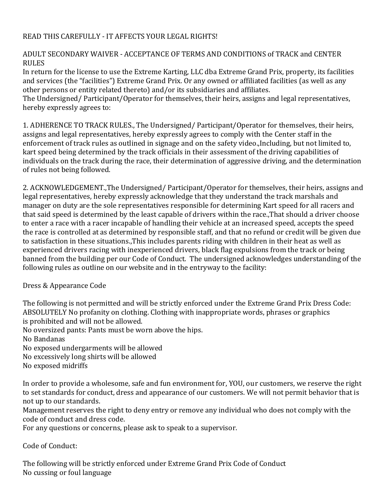## READ THIS CAREFULLY - IT AFFECTS YOUR LEGAL RIGHTS!

## ADULT SECONDARY WAIVER - ACCEPTANCE OF TERMS AND CONDITIONS of TRACK and CENTER RULES

In return for the license to use the Extreme Karting, LLC dba Extreme Grand Prix, property, its facilities and services (the "facilities") Extreme Grand Prix. Or any owned or affiliated facilities (as well as any other persons or entity related thereto) and/or its subsidiaries and affiliates.

The Undersigned/ Participant/Operator for themselves, their heirs, assigns and legal representatives, hereby expressly agrees to:

1. ADHERENCE TO TRACK RULES., The Undersigned/ Participant/Operator for themselves, their heirs, assigns and legal representatives, hereby expressly agrees to comply with the Center staff in the enforcement of track rules as outlined in signage and on the safety video.,Including, but not limited to, kart speed being determined by the track officials in their assessment of the driving capabilities of individuals on the track during the race, their determination of aggressive driving, and the determination of rules not being followed.

2. ACKNOWLEDGEMENT.,The Undersigned/ Participant/Operator for themselves, their heirs, assigns and legal representatives, hereby expressly acknowledge that they understand the track marshals and manager on duty are the sole representatives responsible for determining Kart speed for all racers and that said speed is determined by the least capable of drivers within the race.,That should a driver choose to enter a race with a racer incapable of handling their vehicle at an increased speed, accepts the speed the race is controlled at as determined by responsible staff, and that no refund or credit will be given due to satisfaction in these situations.,This includes parents riding with children in their heat as well as experienced drivers racing with inexperienced drivers, black flag expulsions from the track or being banned from the building per our Code of Conduct. The undersigned acknowledges understanding of the following rules as outline on our website and in the entryway to the facility:

## Dress & Appearance Code

The following is not permitted and will be strictly enforced under the Extreme Grand Prix Dress Code: ABSOLUTELY No profanity on clothing. Clothing with inappropriate words, phrases or graphics is prohibited and will not be allowed.

No oversized pants: Pants must be worn above the hips.

No Bandanas

No exposed undergarments will be allowed

No excessively long shirts will be allowed

No exposed midriffs

In order to provide a wholesome, safe and fun environment for, YOU, our customers, we reserve the right to set standards for conduct, dress and appearance of our customers. We will not permit behavior that is not up to our standards.

Management reserves the right to deny entry or remove any individual who does not comply with the code of conduct and dress code.

For any questions or concerns, please ask to speak to a supervisor.

Code of Conduct:

The following will be strictly enforced under Extreme Grand Prix Code of Conduct No cussing or foul language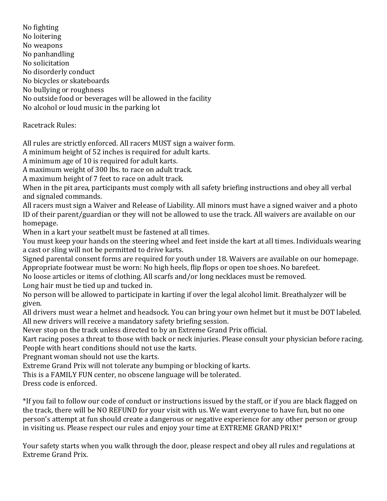No fighting No loitering No weapons No panhandling No solicitation No disorderly conduct No bicycles or skateboards No bullying or roughness No outside food or beverages will be allowed in the facility No alcohol or loud music in the parking lot

Racetrack Rules:

All rules are strictly enforced. All racers MUST sign a waiver form.

A minimum height of 52 inches is required for adult karts.

A minimum age of 10 is required for adult karts.

A maximum weight of 300 lbs. to race on adult track.

A maximum height of 7 feet to race on adult track.

When in the pit area, participants must comply with all safety briefing instructions and obey all verbal and signaled commands.

All racers must sign a Waiver and Release of Liability. All minors must have a signed waiver and a photo ID of their parent/guardian or they will not be allowed to use the track. All waivers are available on our homepage.

When in a kart your seatbelt must be fastened at all times.

You must keep your hands on the steering wheel and feet inside the kart at all times. Individuals wearing a cast or sling will not be permitted to drive karts.

Signed parental consent forms are required for youth under 18. Waivers are available on our homepage. Appropriate footwear must be worn: No high heels, flip flops or open toe shoes. No barefeet.

No loose articles or items of clothing. All scarfs and/or long necklaces must be removed.

Long hair must be tied up and tucked in.

No person will be allowed to participate in karting if over the legal alcohol limit. Breathalyzer will be given.

All drivers must wear a helmet and headsock. You can bring your own helmet but it must be DOT labeled. All new drivers will receive a mandatory safety briefing session.

Never stop on the track unless directed to by an Extreme Grand Prix official.

Kart racing poses a threat to those with back or neck injuries. Please consult your physician before racing. People with heart conditions should not use the karts.

Pregnant woman should not use the karts.

Extreme Grand Prix will not tolerate any bumping or blocking of karts.

This is a FAMILY FUN center, no obscene language will be tolerated.

Dress code is enforced.

\*If you fail to follow our code of conduct or instructions issued by the staff, or if you are black flagged on the track, there will be NO REFUND for your visit with us. We want everyone to have fun, but no one person's attempt at fun should create a dangerous or negative experience for any other person or group in visiting us. Please respect our rules and enjoy your time at EXTREME GRAND PRIX!\*

Your safety starts when you walk through the door, please respect and obey all rules and regulations at Extreme Grand Prix.